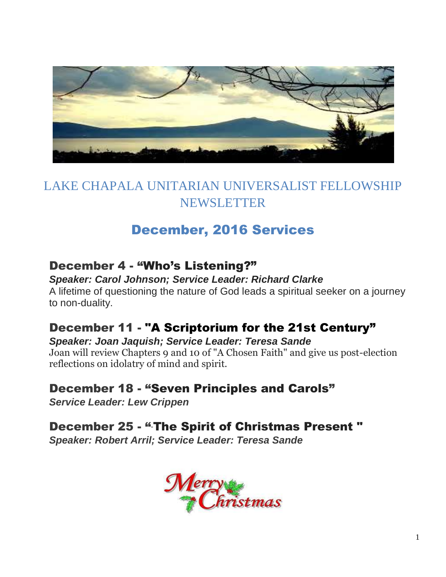

# LAKE CHAPALA UNITARIAN UNIVERSALIST FELLOWSHIP NEWSLETTER

# December, 2016 Services

## December 4 - "Who's Listening?"

*Speaker: Carol Johnson; Service Leader: Richard Clarke*  A lifetime of questioning the nature of God leads a spiritual seeker on a journey to non-duality.

## December 11 - "A Scriptorium for the 21st Century"

*Speaker: Joan Jaquish; Service Leader: Teresa Sande*  Joan will review Chapters 9 and 10 of "A Chosen Faith" and give us post-election reflections on idolatry of mind and spirit.

## December 18 - "Seven Principles and Carols"

*Service Leader: Lew Crippen*

December 25 - "The Spirit of Christmas Present"

*Speaker: Robert Arril; Service Leader: Teresa Sande*

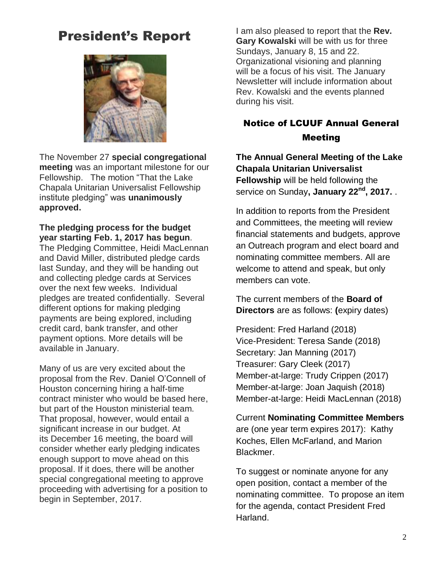# President's Report



The November 27 **special congregational meeting** was an important milestone for our Fellowship. The motion "That the Lake Chapala Unitarian Universalist Fellowship institute pledging" was **unanimously approved.** 

**The pledging process for the budget year starting Feb. 1, 2017 has begun**. The Pledging Committee, Heidi MacLennan

and David Miller, distributed pledge cards last Sunday, and they will be handing out and collecting pledge cards at Services over the next few weeks. Individual pledges are treated confidentially. Several different options for making pledging payments are being explored, including credit card, bank transfer, and other payment options. More details will be available in January.

Many of us are very excited about the proposal from the Rev. Daniel O'Connell of Houston concerning hiring a half-time contract minister who would be based here, but part of the Houston ministerial team. That proposal, however, would entail a significant increase in our budget. At its December 16 meeting, the board will consider whether early pledging indicates enough support to move ahead on this proposal. If it does, there will be another special congregational meeting to approve proceeding with advertising for a position to begin in September, 2017.

I am also pleased to report that the **Rev. Gary Kowalski** will be with us for three Sundays, January 8, 15 and 22. Organizational visioning and planning will be a focus of his visit. The January Newsletter will include information about Rev. Kowalski and the events planned during his visit.

#### Notice of LCUUF Annual General Meeting

#### **The Annual General Meeting of the Lake Chapala Unitarian Universalist Fellowship** will be held following the service on Sunday**, January 22nd, 2017.** .

In addition to reports from the President and Committees, the meeting will review financial statements and budgets, approve an Outreach program and elect board and nominating committee members. All are welcome to attend and speak, but only members can vote.

The current members of the **Board of Directors** are as follows: **(**expiry dates)

President: Fred Harland (2018) Vice-President: Teresa Sande (2018) Secretary: Jan Manning (2017) Treasurer: Gary Cleek (2017) Member-at-large: Trudy Crippen (2017) Member-at-large: Joan Jaquish (2018) Member-at-large: Heidi MacLennan (2018)

Current **Nominating Committee Members**  are (one year term expires 2017): Kathy Koches, Ellen McFarland, and Marion Blackmer.

To suggest or nominate anyone for any open position, contact a member of the nominating committee. To propose an item for the agenda, contact President Fred Harland.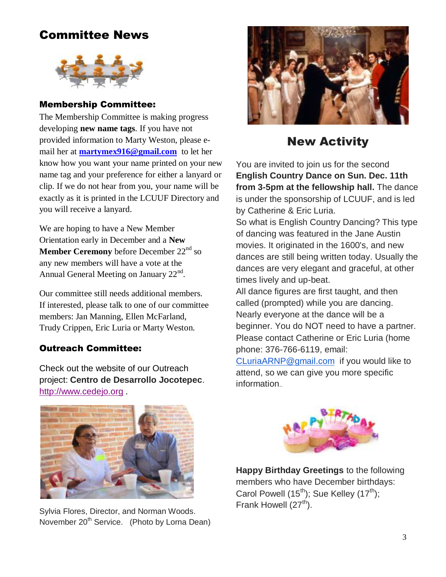## Committee News



#### Membership Committee:

The Membership Committee is making progress developing **new name tags**. If you have not provided information to Marty Weston, please email her at **[martymex916@gmail.com](mailto:martymex916@gmail.com)** to let her know how you want your name printed on your new name tag and your preference for either a lanyard or clip. If we do not hear from you, your name will be exactly as it is printed in the LCUUF Directory and you will receive a lanyard.

We are hoping to have a New Member Orientation early in December and a **New Member Ceremony** before December 22<sup>nd</sup> so any new members will have a vote at the Annual General Meeting on January  $22<sup>nd</sup>$ .

Our committee still needs additional members. If interested, please talk to one of our committee members: Jan Manning, Ellen McFarland, Trudy Crippen, Eric Luria or Marty Weston.

#### Outreach Committee:

Check out the website of our Outreach project: **Centro de Desarrollo Jocotepec**. [http://www.cedejo.org](http://www.cedejo.org/) .



### New Activity

You are invited to join us for the second **English Country Dance on Sun. Dec. 11th from 3-5pm at the fellowship hall.** The dance is under the sponsorship of LCUUF, and is led by Catherine & Eric Luria.

So what is English Country Dancing? This type of dancing was featured in the Jane Austin movies. It originated in the 1600's, and new dances are still being written today. Usually the dances are very elegant and graceful, at other times lively and up-beat.

All dance figures are first taught, and then called (prompted) while you are dancing. Nearly everyone at the dance will be a beginner. You do NOT need to have a partner. Please contact Catherine or Eric Luria (home phone: 376-766-6119, email:

[CLuriaARNP@gmail.com](mailto:CLuriaARNP@gmail.com) if you would like to attend, so we can give you more specific information..



Sylvia Flores, Director, and Norman Woods. November 20<sup>th</sup> Service. (Photo by Lorna Dean)



**Happy Birthday Greetings** to the following members who have December birthdays: Carol Powell  $(15^{th})$ ; Sue Kelley  $(17^{th})$ ; Frank Howell  $(27<sup>th</sup>)$ .